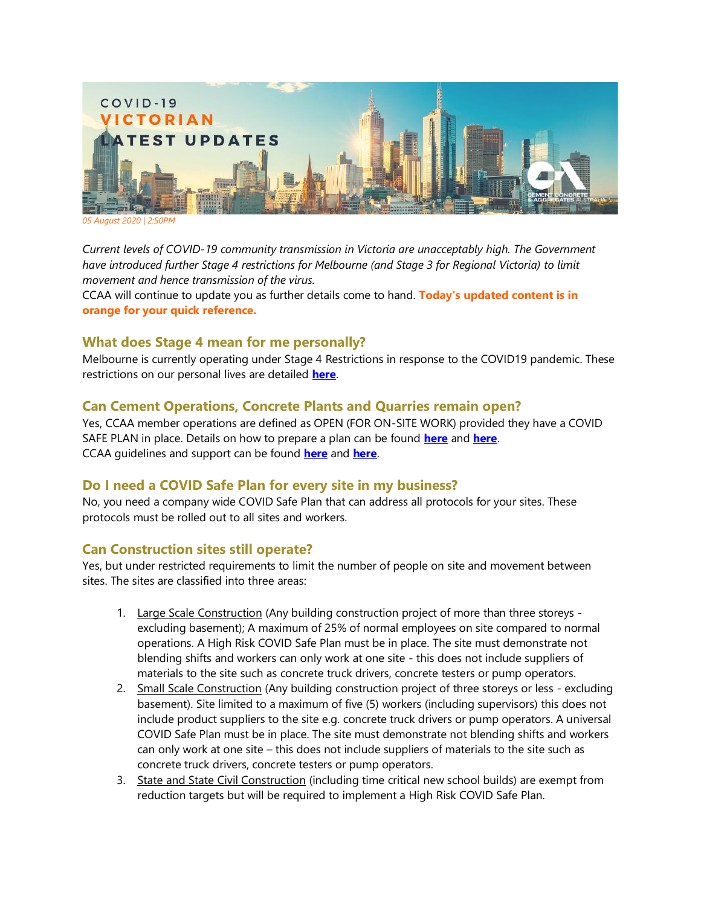

*05 August 2020 | 2:50PM*

*Current levels of COVID-19 community transmission in Victoria are unacceptably high. The Government have introduced further Stage 4 restrictions for Melbourne (and Stage 3 for Regional Victoria) to limit movement and hence transmission of the virus.* 

CCAA will continue to update you as further details come to hand. **Today's updated content is in orange for your quick reference.**

### **What does Stage 4 mean for me personally?**

Melbourne is currently operating under Stage 4 Restrictions in response to the COVID19 pandemic. These restrictions on our personal lives are detailed **[here](https://www.dhhs.vic.gov.au/victorias-restriction-levels-covid-19)**.

# **Can Cement Operations, Concrete Plants and Quarries remain open?**

Yes, CCAA member operations are defined as OPEN (FOR ON-SITE WORK) provided they have a COVID SAFE PLAN in place. Details on how to prepare a plan can be found **[here](https://www.business.vic.gov.au/disputes-disasters-and-succession-planning/covid-safe-business/creating-a-covid-safe-workplace)** and **[here](https://www.worksafe.vic.gov.au/coronavirus-covid-19)**. CCAA guidelines and support can be found **[here](https://view.publitas.com/ccaa/ccaa_covid19_riskmanagementprotocols_newsletter_25032020/page/1)** and **[here](http://www.ccaa.com.au/)**.

# **Do I need a COVID Safe Plan for every site in my business?**

No, you need a company wide COVID Safe Plan that can address all protocols for your sites. These protocols must be rolled out to all sites and workers.

### **Can Construction sites still operate?**

Yes, but under restricted requirements to limit the number of people on site and movement between sites. The sites are classified into three areas:

- 1. Large Scale Construction (Any building construction project of more than three storeys excluding basement); A maximum of 25% of normal employees on site compared to normal operations. A High Risk COVID Safe Plan must be in place. The site must demonstrate not blending shifts and workers can only work at one site - this does not include suppliers of materials to the site such as concrete truck drivers, concrete testers or pump operators.
- 2. Small Scale Construction (Any building construction project of three storeys or less excluding basement). Site limited to a maximum of five (5) workers (including supervisors) this does not include product suppliers to the site e.g. concrete truck drivers or pump operators. A universal COVID Safe Plan must be in place. The site must demonstrate not blending shifts and workers can only work at one site – this does not include suppliers of materials to the site such as concrete truck drivers, concrete testers or pump operators.
- 3. State and State Civil Construction (including time critical new school builds) are exempt from reduction targets but will be required to implement a High Risk COVID Safe Plan.